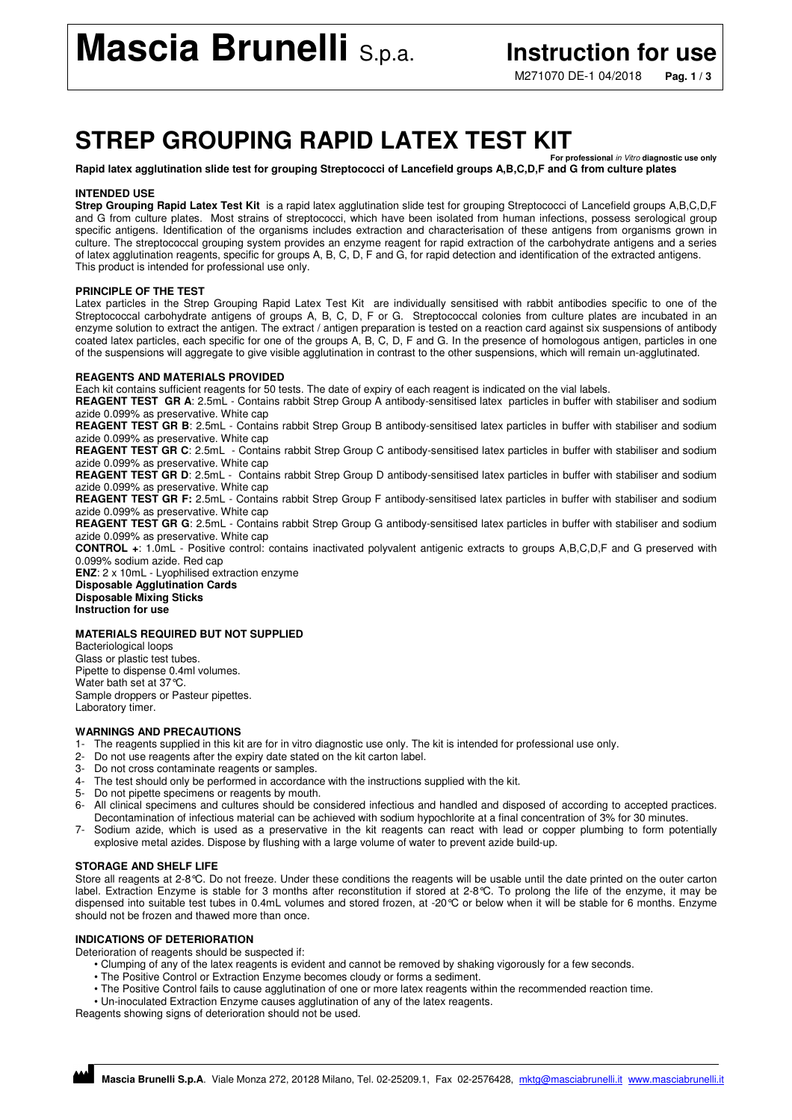M271070 DE-1 04/2018 **Pag. 1 / 3**

## **STREP GROUPING RAPID LATEX TEST KIT**

**For professional** in Vitro **diagnostic use only Rapid latex agglutination slide test for grouping Streptococci of Lancefield groups A,B,C,D,F and G from culture plates** 

#### **INTENDED USE**

**Strep Grouping Rapid Latex Test Kit** is a rapid latex agglutination slide test for grouping Streptococci of Lancefield groups A,B,C,D,F and G from culture plates. Most strains of streptococci, which have been isolated from human infections, possess serological group specific antigens. Identification of the organisms includes extraction and characterisation of these antigens from organisms grown in culture. The streptococcal grouping system provides an enzyme reagent for rapid extraction of the carbohydrate antigens and a series of latex agglutination reagents, specific for groups A, B, C, D, F and G, for rapid detection and identification of the extracted antigens. This product is intended for professional use only.

#### **PRINCIPLE OF THE TEST**

Latex particles in the Strep Grouping Rapid Latex Test Kit are individually sensitised with rabbit antibodies specific to one of the Streptococcal carbohydrate antigens of groups A, B, C, D, F or G. Streptococcal colonies from culture plates are incubated in an enzyme solution to extract the antigen. The extract / antigen preparation is tested on a reaction card against six suspensions of antibody coated latex particles, each specific for one of the groups A, B, C, D, F and G. In the presence of homologous antigen, particles in one of the suspensions will aggregate to give visible agglutination in contrast to the other suspensions, which will remain un-agglutinated.

#### **REAGENTS AND MATERIALS PROVIDED**

Each kit contains sufficient reagents for 50 tests. The date of expiry of each reagent is indicated on the vial labels.

**REAGENT TEST GR A**: 2.5mL - Contains rabbit Strep Group A antibody-sensitised latex particles in buffer with stabiliser and sodium azide 0.099% as preservative. White cap

**REAGENT TEST GR B**: 2.5mL - Contains rabbit Strep Group B antibody-sensitised latex particles in buffer with stabiliser and sodium azide 0.099% as preservative. White cap

**REAGENT TEST GR C**: 2.5mL - Contains rabbit Strep Group C antibody-sensitised latex particles in buffer with stabiliser and sodium azide 0.099% as preservative. White cap

**REAGENT TEST GR D**: 2.5mL - Contains rabbit Strep Group D antibody-sensitised latex particles in buffer with stabiliser and sodium azide 0.099% as preservative. White cap

**REAGENT TEST GR F:** 2.5mL - Contains rabbit Strep Group F antibody-sensitised latex particles in buffer with stabiliser and sodium azide 0.099% as preservative. White cap

**REAGENT TEST GR G**: 2.5mL - Contains rabbit Strep Group G antibody-sensitised latex particles in buffer with stabiliser and sodium azide 0.099% as preservative. White cap

**CONTROL +**: 1.0mL - Positive control: contains inactivated polyvalent antigenic extracts to groups A,B,C,D,F and G preserved with 0.099% sodium azide. Red cap

**ENZ**: 2 x 10mL - Lyophilised extraction enzyme **Disposable Agglutination Cards Disposable Mixing Sticks Instruction for use** 

### **MATERIALS REQUIRED BUT NOT SUPPLIED**

Bacteriological loops Glass or plastic test tubes. Pipette to dispense 0.4ml volumes. Water bath set at 37°C. Sample droppers or Pasteur pipettes. Laboratory timer.

#### **WARNINGS AND PRECAUTIONS**

- 1- The reagents supplied in this kit are for in vitro diagnostic use only. The kit is intended for professional use only.
- 2- Do not use reagents after the expiry date stated on the kit carton label.
- 3- Do not cross contaminate reagents or samples.
- 4- The test should only be performed in accordance with the instructions supplied with the kit.
- 5- Do not pipette specimens or reagents by mouth.
- 6- All clinical specimens and cultures should be considered infectious and handled and disposed of according to accepted practices. Decontamination of infectious material can be achieved with sodium hypochlorite at a final concentration of 3% for 30 minutes.
- 7- Sodium azide, which is used as a preservative in the kit reagents can react with lead or copper plumbing to form potentially explosive metal azides. Dispose by flushing with a large volume of water to prevent azide build-up.

#### **STORAGE AND SHELF LIFE**

Store all reagents at 2-8°C. Do not freeze. Under these conditions the reagents will be usable until the date printed on the outer carton label. Extraction Enzyme is stable for 3 months after reconstitution if stored at 2-8°C. To prolong the life of the enzyme, it may be dispensed into suitable test tubes in 0.4mL volumes and stored frozen, at -20°C or below when it will be stable for 6 months. Enzyme should not be frozen and thawed more than once.

#### **INDICATIONS OF DETERIORATION**

Deterioration of reagents should be suspected if:

- Clumping of any of the latex reagents is evident and cannot be removed by shaking vigorously for a few seconds.
- The Positive Control or Extraction Enzyme becomes cloudy or forms a sediment.
- The Positive Control fails to cause agglutination of one or more latex reagents within the recommended reaction time.

• Un-inoculated Extraction Enzyme causes agglutination of any of the latex reagents.

Reagents showing signs of deterioration should not be used.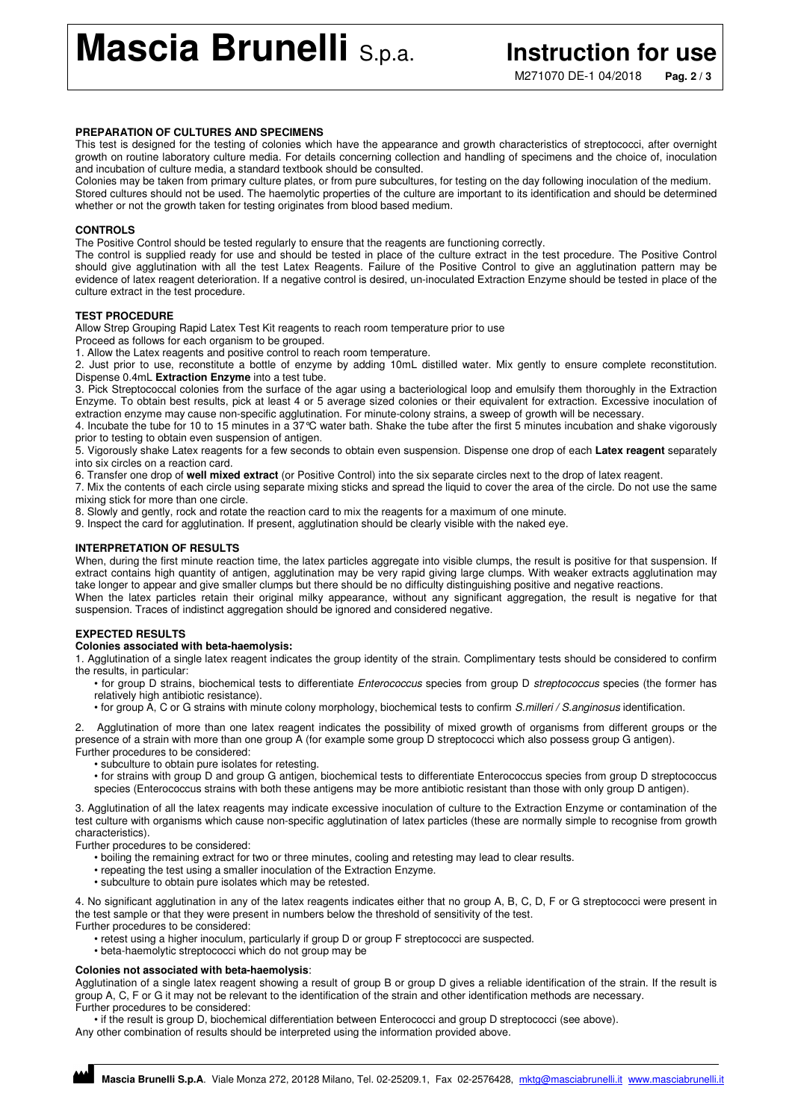**Mascia Brunelli** S.p.a. **Instruction for use** 

M271070 DE-1 04/2018 **Pag. 2 / 3**

#### **PREPARATION OF CULTURES AND SPECIMENS**

This test is designed for the testing of colonies which have the appearance and growth characteristics of streptococci, after overnight growth on routine laboratory culture media. For details concerning collection and handling of specimens and the choice of, inoculation and incubation of culture media, a standard textbook should be consulted.

Colonies may be taken from primary culture plates, or from pure subcultures, for testing on the day following inoculation of the medium. Stored cultures should not be used. The haemolytic properties of the culture are important to its identification and should be determined whether or not the growth taken for testing originates from blood based medium.

#### **CONTROLS**

The Positive Control should be tested regularly to ensure that the reagents are functioning correctly.

The control is supplied ready for use and should be tested in place of the culture extract in the test procedure. The Positive Control should give agglutination with all the test Latex Reagents. Failure of the Positive Control to give an agglutination pattern may be evidence of latex reagent deterioration. If a negative control is desired, un-inoculated Extraction Enzyme should be tested in place of the culture extract in the test procedure.

#### **TEST PROCEDURE**

Allow Strep Grouping Rapid Latex Test Kit reagents to reach room temperature prior to use

Proceed as follows for each organism to be grouped.

1. Allow the Latex reagents and positive control to reach room temperature.

2. Just prior to use, reconstitute a bottle of enzyme by adding 10mL distilled water. Mix gently to ensure complete reconstitution. Dispense 0.4mL **Extraction Enzyme** into a test tube.

3. Pick Streptococcal colonies from the surface of the agar using a bacteriological loop and emulsify them thoroughly in the Extraction Enzyme. To obtain best results, pick at least 4 or 5 average sized colonies or their equivalent for extraction. Excessive inoculation of extraction enzyme may cause non-specific agglutination. For minute-colony strains, a sweep of growth will be necessary.

4. Incubate the tube for 10 to 15 minutes in a 37°C water bath. Shake the tube after the first 5 minutes incubation and shake vigorously prior to testing to obtain even suspension of antigen.

5. Vigorously shake Latex reagents for a few seconds to obtain even suspension. Dispense one drop of each **Latex reagent** separately into six circles on a reaction card.

6. Transfer one drop of **well mixed extract** (or Positive Control) into the six separate circles next to the drop of latex reagent.

7. Mix the contents of each circle using separate mixing sticks and spread the liquid to cover the area of the circle. Do not use the same mixing stick for more than one circle.

8. Slowly and gently, rock and rotate the reaction card to mix the reagents for a maximum of one minute.

9. Inspect the card for agglutination. If present, agglutination should be clearly visible with the naked eye.

#### **INTERPRETATION OF RESULTS**

When, during the first minute reaction time, the latex particles aggregate into visible clumps, the result is positive for that suspension. If extract contains high quantity of antigen, agglutination may be very rapid giving large clumps. With weaker extracts agglutination may take longer to appear and give smaller clumps but there should be no difficulty distinguishing positive and negative reactions. When the latex particles retain their original milky appearance, without any significant aggregation, the result is negative for that

suspension. Traces of indistinct aggregation should be ignored and considered negative.

#### **EXPECTED RESULTS**

#### **Colonies associated with beta-haemolysis:**

1. Agglutination of a single latex reagent indicates the group identity of the strain. Complimentary tests should be considered to confirm the results, in particular:

- for group D strains, biochemical tests to differentiate Enterococcus species from group D streptococcus species (the former has relatively high antibiotic resistance).
- for group A, C or G strains with minute colony morphology, biochemical tests to confirm S.milleri / S.anginosus identification.

2. Agglutination of more than one latex reagent indicates the possibility of mixed growth of organisms from different groups or the presence of a strain with more than one group A (for example some group D streptococci which also possess group G antigen). Further procedures to be considered:

- subculture to obtain pure isolates for retesting.
- for strains with group D and group G antigen, biochemical tests to differentiate Enterococcus species from group D streptococcus species (Enterococcus strains with both these antigens may be more antibiotic resistant than those with only group D antigen).

3. Agglutination of all the latex reagents may indicate excessive inoculation of culture to the Extraction Enzyme or contamination of the test culture with organisms which cause non-specific agglutination of latex particles (these are normally simple to recognise from growth characteristics).

Further procedures to be considered:

- boiling the remaining extract for two or three minutes, cooling and retesting may lead to clear results.
- repeating the test using a smaller inoculation of the Extraction Enzyme.
- subculture to obtain pure isolates which may be retested.

4. No significant agglutination in any of the latex reagents indicates either that no group A, B, C, D, F or G streptococci were present in the test sample or that they were present in numbers below the threshold of sensitivity of the test. Further procedures to be considered:

- retest using a higher inoculum, particularly if group D or group F streptococci are suspected.
- beta-haemolytic streptococci which do not group may be

#### **Colonies not associated with beta-haemolysis**:

Agglutination of a single latex reagent showing a result of group B or group D gives a reliable identification of the strain. If the result is group A, C, F or G it may not be relevant to the identification of the strain and other identification methods are necessary. Further procedures to be considered:

• if the result is group D, biochemical differentiation between Enterococci and group D streptococci (see above). Any other combination of results should be interpreted using the information provided above.